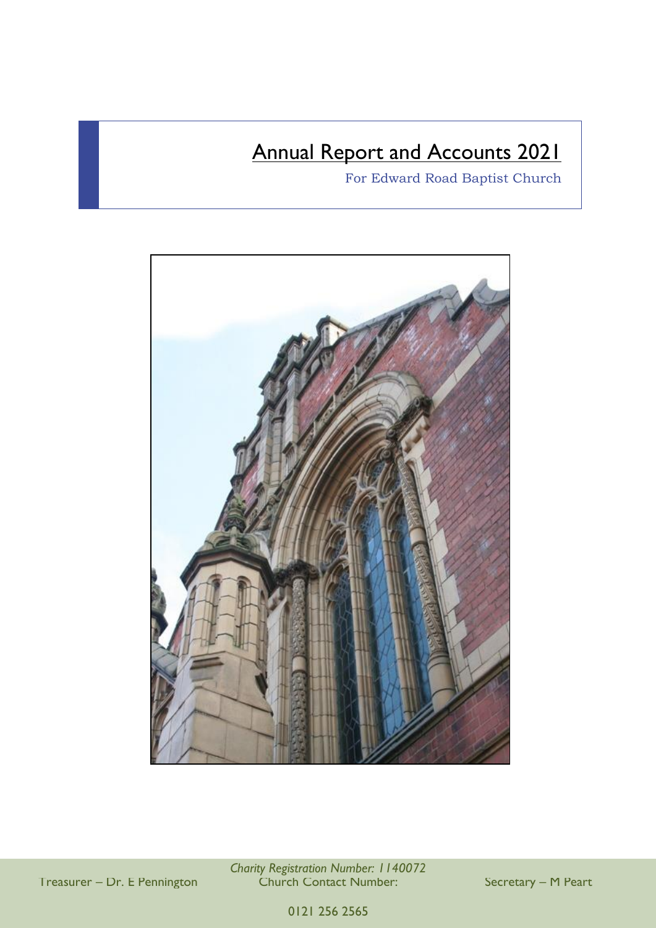## **Annual Report and Accounts 2021**

For Edward Road Baptist Church



*Charity Registration Number: 1140072* Treasurer – Dr. E Pennington Church Contact Number: Secretary – M Peart

0121 256 2565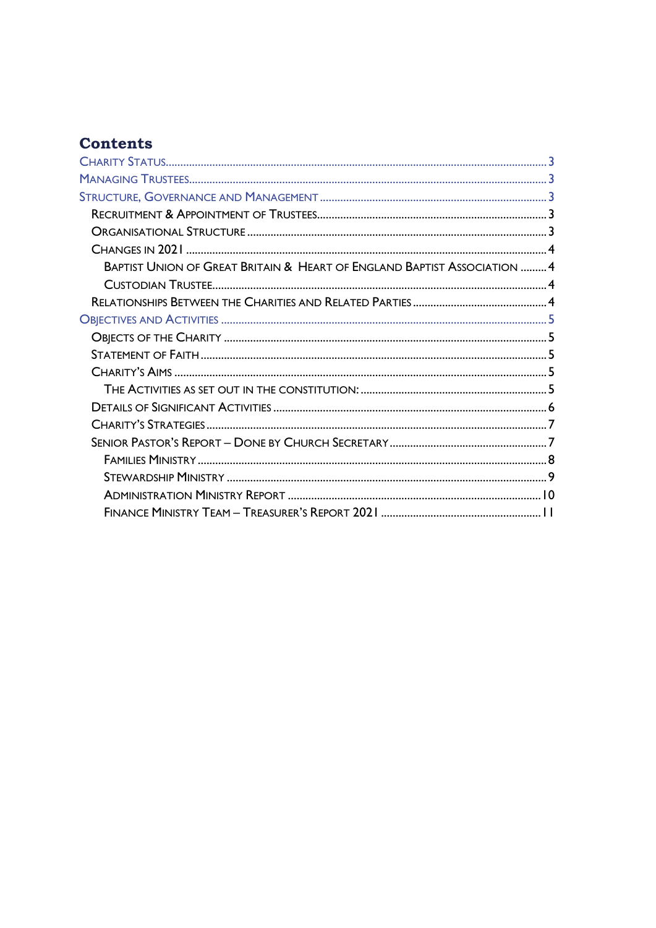## **Contents**

| <b>BAPTIST UNION OF GREAT BRITAIN &amp; HEART OF ENGLAND BAPTIST ASSOCIATION  4</b> |  |
|-------------------------------------------------------------------------------------|--|
|                                                                                     |  |
|                                                                                     |  |
|                                                                                     |  |
|                                                                                     |  |
|                                                                                     |  |
|                                                                                     |  |
|                                                                                     |  |
|                                                                                     |  |
|                                                                                     |  |
|                                                                                     |  |
|                                                                                     |  |
|                                                                                     |  |
|                                                                                     |  |
|                                                                                     |  |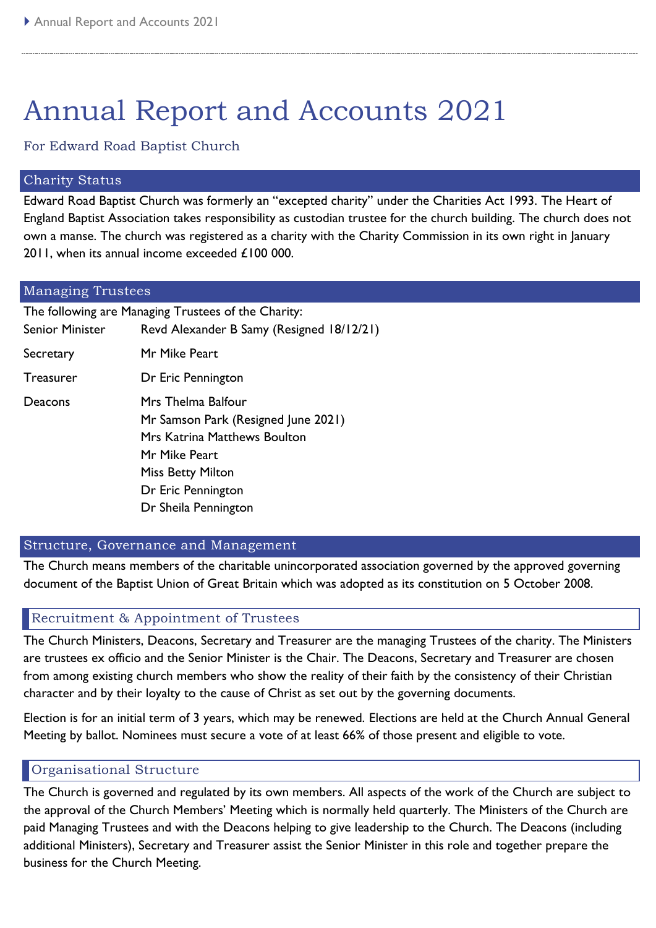# Annual Report and Accounts 2021

For Edward Road Baptist Church

#### <span id="page-2-0"></span>Charity Status

Edward Road Baptist Church was formerly an "excepted charity" under the Charities Act 1993. The Heart of England Baptist Association takes responsibility as custodian trustee for the church building. The church does not own a manse. The church was registered as a charity with the Charity Commission in its own right in January 2011, when its annual income exceeded £100 000.

<span id="page-2-1"></span>

| <b>Managing Trustees</b> |                                                     |  |  |  |  |  |
|--------------------------|-----------------------------------------------------|--|--|--|--|--|
|                          | The following are Managing Trustees of the Charity: |  |  |  |  |  |
| <b>Senior Minister</b>   | Revd Alexander B Samy (Resigned 18/12/21)           |  |  |  |  |  |
| Secretary                | Mr Mike Peart                                       |  |  |  |  |  |
| <b>Treasurer</b>         | Dr Eric Pennington                                  |  |  |  |  |  |
| Deacons                  | Mrs Thelma Balfour                                  |  |  |  |  |  |
|                          | Mr Samson Park (Resigned June 2021)                 |  |  |  |  |  |
|                          | <b>Mrs Katrina Matthews Boulton</b>                 |  |  |  |  |  |
|                          | Mr Mike Peart                                       |  |  |  |  |  |
|                          | <b>Miss Betty Milton</b>                            |  |  |  |  |  |
|                          | Dr Eric Pennington                                  |  |  |  |  |  |
|                          | Dr Sheila Pennington                                |  |  |  |  |  |

#### <span id="page-2-2"></span>Structure, Governance and Management

The Church means members of the charitable unincorporated association governed by the approved governing document of the Baptist Union of Great Britain which was adopted as its constitution on 5 October 2008.

#### <span id="page-2-3"></span>Recruitment & Appointment of Trustees

The Church Ministers, Deacons, Secretary and Treasurer are the managing Trustees of the charity. The Ministers are trustees ex officio and the Senior Minister is the Chair. The Deacons, Secretary and Treasurer are chosen from among existing church members who show the reality of their faith by the consistency of their Christian character and by their loyalty to the cause of Christ as set out by the governing documents.

Election is for an initial term of 3 years, which may be renewed. Elections are held at the Church Annual General Meeting by ballot. Nominees must secure a vote of at least 66% of those present and eligible to vote.

#### <span id="page-2-4"></span>Organisational Structure

The Church is governed and regulated by its own members. All aspects of the work of the Church are subject to the approval of the Church Members' Meeting which is normally held quarterly. The Ministers of the Church are paid Managing Trustees and with the Deacons helping to give leadership to the Church. The Deacons (including additional Ministers), Secretary and Treasurer assist the Senior Minister in this role and together prepare the business for the Church Meeting.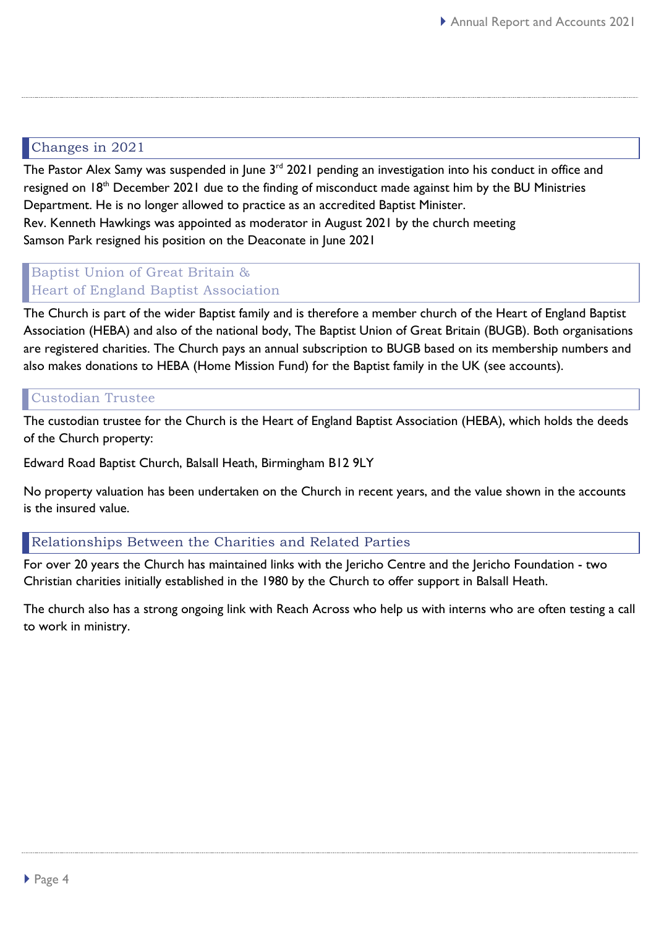## <span id="page-3-0"></span>Changes in 2021

The Pastor Alex Samy was suspended in June 3<sup>rd</sup> 2021 pending an investigation into his conduct in office and resigned on 18<sup>th</sup> December 2021 due to the finding of misconduct made against him by the BU Ministries Department. He is no longer allowed to practice as an accredited Baptist Minister. Rev. Kenneth Hawkings was appointed as moderator in August 2021 by the church meeting Samson Park resigned his position on the Deaconate in June 2021

## <span id="page-3-1"></span>Baptist Union of Great Britain & Heart of England Baptist Association

The Church is part of the wider Baptist family and is therefore a member church of the Heart of England Baptist Association (HEBA) and also of the national body, The Baptist Union of Great Britain (BUGB). Both organisations are registered charities. The Church pays an annual subscription to BUGB based on its membership numbers and also makes donations to HEBA (Home Mission Fund) for the Baptist family in the UK (see accounts).

## <span id="page-3-2"></span>Custodian Trustee

The custodian trustee for the Church is the Heart of England Baptist Association (HEBA), which holds the deeds of the Church property:

Edward Road Baptist Church, Balsall Heath, Birmingham B12 9LY

No property valuation has been undertaken on the Church in recent years, and the value shown in the accounts is the insured value.

#### <span id="page-3-3"></span>Relationships Between the Charities and Related Parties

For over 20 years the Church has maintained links with the Jericho Centre and the Jericho Foundation - two Christian charities initially established in the 1980 by the Church to offer support in Balsall Heath.

The church also has a strong ongoing link with Reach Across who help us with interns who are often testing a call to work in ministry.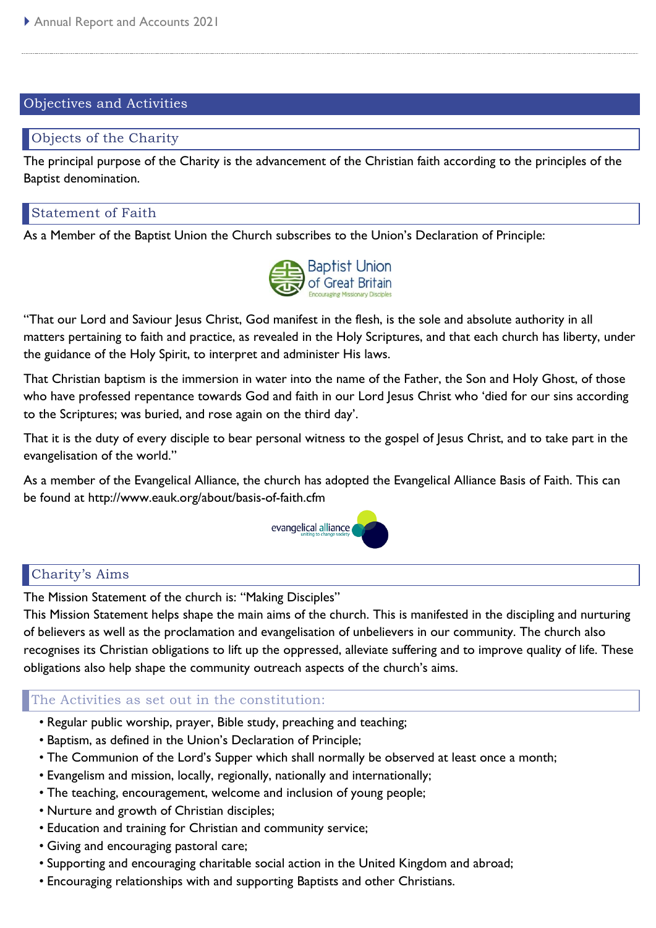#### <span id="page-4-0"></span>Objectives and Activities

#### <span id="page-4-1"></span>Objects of the Charity

The principal purpose of the Charity is the advancement of the Christian faith according to the principles of the Baptist denomination.

#### <span id="page-4-2"></span>Statement of Faith

As a Member of the Baptist Union the Church subscribes to the Union's Declaration of Principle:



"That our Lord and Saviour Jesus Christ, God manifest in the flesh, is the sole and absolute authority in all matters pertaining to faith and practice, as revealed in the Holy Scriptures, and that each church has liberty, under the guidance of the Holy Spirit, to interpret and administer His laws.

That Christian baptism is the immersion in water into the name of the Father, the Son and Holy Ghost, of those who have professed repentance towards God and faith in our Lord Jesus Christ who 'died for our sins according to the Scriptures; was buried, and rose again on the third day'.

That it is the duty of every disciple to bear personal witness to the gospel of Jesus Christ, and to take part in the evangelisation of the world."

As a member of the Evangelical Alliance, the church has adopted the Evangelical Alliance Basis of Faith. This can be found at http://www.eauk.org/about/basis-of-faith.cfm



## <span id="page-4-3"></span>Charity's Aims

The Mission Statement of the church is: "Making Disciples"

This Mission Statement helps shape the main aims of the church. This is manifested in the discipling and nurturing of believers as well as the proclamation and evangelisation of unbelievers in our community. The church also recognises its Christian obligations to lift up the oppressed, alleviate suffering and to improve quality of life. These obligations also help shape the community outreach aspects of the church's aims.

## <span id="page-4-4"></span>The Activities as set out in the constitution:

- Regular public worship, prayer, Bible study, preaching and teaching;
- Baptism, as defined in the Union's Declaration of Principle;
- The Communion of the Lord's Supper which shall normally be observed at least once a month;
- Evangelism and mission, locally, regionally, nationally and internationally;
- The teaching, encouragement, welcome and inclusion of young people;
- Nurture and growth of Christian disciples;
- Education and training for Christian and community service;
- Giving and encouraging pastoral care;
- Supporting and encouraging charitable social action in the United Kingdom and abroad;
- Encouraging relationships with and supporting Baptists and other Christians.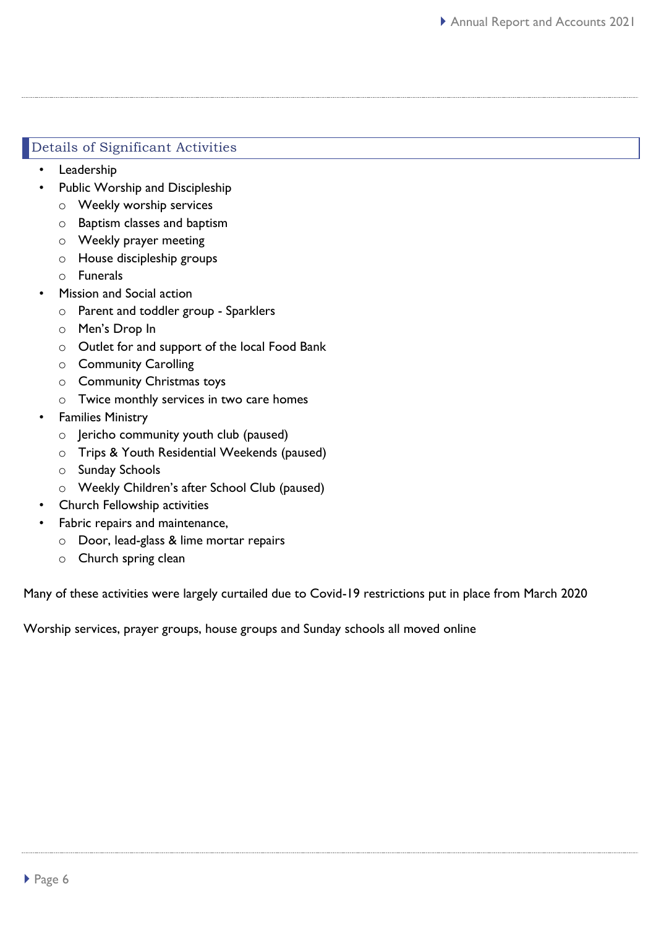### <span id="page-5-0"></span>Details of Significant Activities

- **Leadership** 
	- Public Worship and Discipleship
		- o Weekly worship services
		- o Baptism classes and baptism
		- o Weekly prayer meeting
		- o House discipleship groups
		- o Funerals
- Mission and Social action
	- o Parent and toddler group Sparklers
	- o Men's Drop In
	- o Outlet for and support of the local Food Bank
	- o Community Carolling
	- o Community Christmas toys
	- o Twice monthly services in two care homes
- Families Ministry
	- o Jericho community youth club (paused)
	- o Trips & Youth Residential Weekends (paused)
	- o Sunday Schools
	- o Weekly Children's after School Club (paused)
- Church Fellowship activities
- Fabric repairs and maintenance,
	- o Door, lead-glass & lime mortar repairs
	- o Church spring clean

Many of these activities were largely curtailed due to Covid-19 restrictions put in place from March 2020

Worship services, prayer groups, house groups and Sunday schools all moved online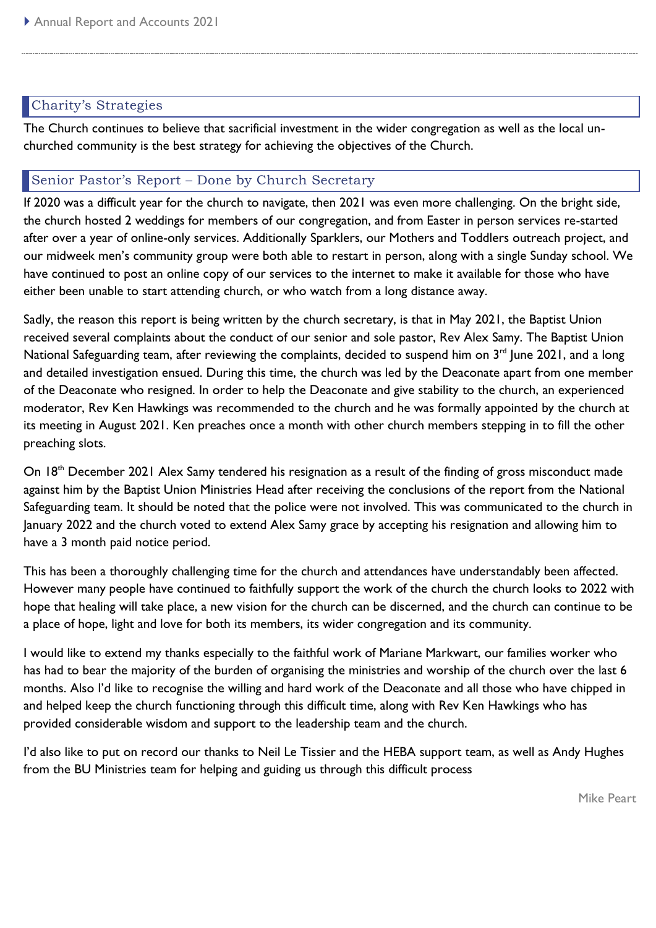## <span id="page-6-0"></span>Charity's Strategies

The Church continues to believe that sacrificial investment in the wider congregation as well as the local unchurched community is the best strategy for achieving the objectives of the Church.

## <span id="page-6-1"></span>Senior Pastor's Report – Done by Church Secretary

If 2020 was a difficult year for the church to navigate, then 2021 was even more challenging. On the bright side, the church hosted 2 weddings for members of our congregation, and from Easter in person services re-started after over a year of online-only services. Additionally Sparklers, our Mothers and Toddlers outreach project, and our midweek men's community group were both able to restart in person, along with a single Sunday school. We have continued to post an online copy of our services to the internet to make it available for those who have either been unable to start attending church, or who watch from a long distance away.

Sadly, the reason this report is being written by the church secretary, is that in May 2021, the Baptist Union received several complaints about the conduct of our senior and sole pastor, Rev Alex Samy. The Baptist Union National Safeguarding team, after reviewing the complaints, decided to suspend him on 3<sup>rd</sup> June 2021, and a long and detailed investigation ensued. During this time, the church was led by the Deaconate apart from one member of the Deaconate who resigned. In order to help the Deaconate and give stability to the church, an experienced moderator, Rev Ken Hawkings was recommended to the church and he was formally appointed by the church at its meeting in August 2021. Ken preaches once a month with other church members stepping in to fill the other preaching slots.

On 18<sup>th</sup> December 2021 Alex Samy tendered his resignation as a result of the finding of gross misconduct made against him by the Baptist Union Ministries Head after receiving the conclusions of the report from the National Safeguarding team. It should be noted that the police were not involved. This was communicated to the church in January 2022 and the church voted to extend Alex Samy grace by accepting his resignation and allowing him to have a 3 month paid notice period.

This has been a thoroughly challenging time for the church and attendances have understandably been affected. However many people have continued to faithfully support the work of the church the church looks to 2022 with hope that healing will take place, a new vision for the church can be discerned, and the church can continue to be a place of hope, light and love for both its members, its wider congregation and its community.

I would like to extend my thanks especially to the faithful work of Mariane Markwart, our families worker who has had to bear the majority of the burden of organising the ministries and worship of the church over the last 6 months. Also I'd like to recognise the willing and hard work of the Deaconate and all those who have chipped in and helped keep the church functioning through this difficult time, along with Rev Ken Hawkings who has provided considerable wisdom and support to the leadership team and the church.

I'd also like to put on record our thanks to Neil Le Tissier and the HEBA support team, as well as Andy Hughes from the BU Ministries team for helping and guiding us through this difficult process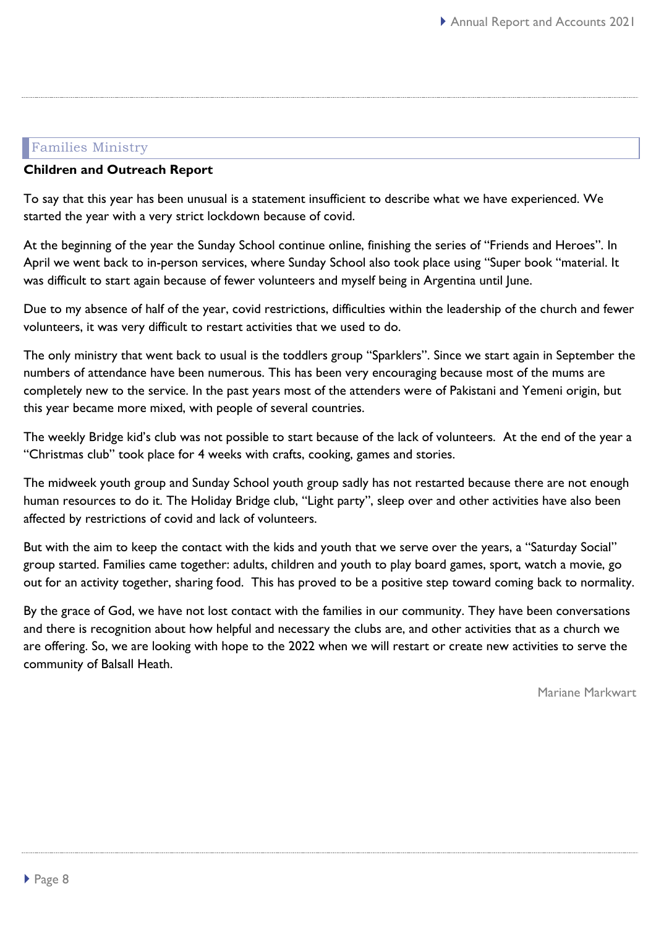## <span id="page-7-0"></span>Families Ministry

#### **Children and Outreach Report**

To say that this year has been unusual is a statement insufficient to describe what we have experienced. We started the year with a very strict lockdown because of covid.

At the beginning of the year the Sunday School continue online, finishing the series of "Friends and Heroes". In April we went back to in-person services, where Sunday School also took place using "Super book "material. It was difficult to start again because of fewer volunteers and myself being in Argentina until June.

Due to my absence of half of the year, covid restrictions, difficulties within the leadership of the church and fewer volunteers, it was very difficult to restart activities that we used to do.

The only ministry that went back to usual is the toddlers group "Sparklers". Since we start again in September the numbers of attendance have been numerous. This has been very encouraging because most of the mums are completely new to the service. In the past years most of the attenders were of Pakistani and Yemeni origin, but this year became more mixed, with people of several countries.

The weekly Bridge kid's club was not possible to start because of the lack of volunteers. At the end of the year a "Christmas club" took place for 4 weeks with crafts, cooking, games and stories.

The midweek youth group and Sunday School youth group sadly has not restarted because there are not enough human resources to do it. The Holiday Bridge club, "Light party", sleep over and other activities have also been affected by restrictions of covid and lack of volunteers.

But with the aim to keep the contact with the kids and youth that we serve over the years, a "Saturday Social" group started. Families came together: adults, children and youth to play board games, sport, watch a movie, go out for an activity together, sharing food. This has proved to be a positive step toward coming back to normality.

By the grace of God, we have not lost contact with the families in our community. They have been conversations and there is recognition about how helpful and necessary the clubs are, and other activities that as a church we are offering. So, we are looking with hope to the 2022 when we will restart or create new activities to serve the community of Balsall Heath.

Mariane Markwart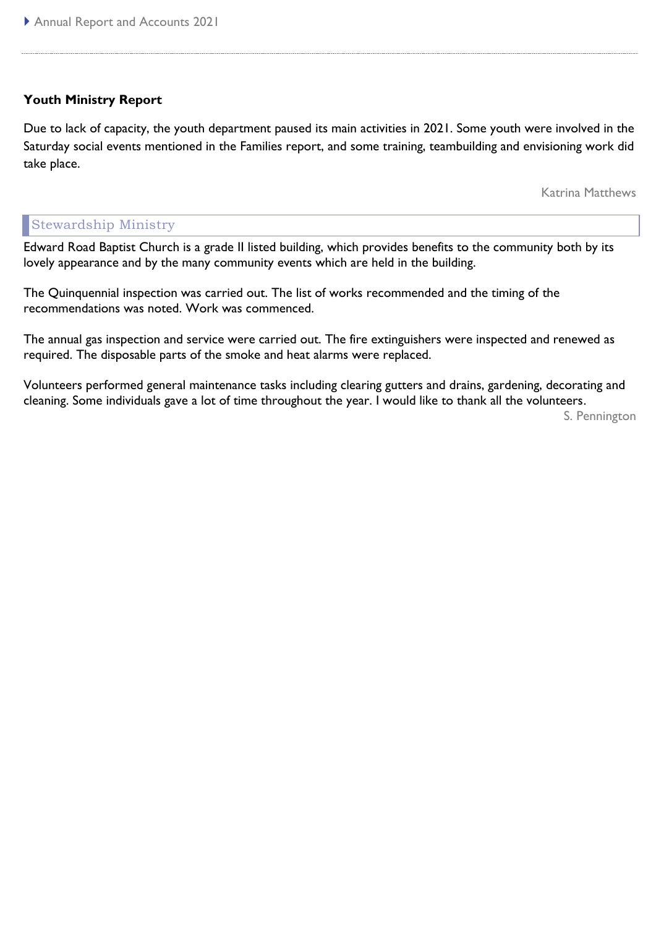#### **Youth Ministry Report**

Due to lack of capacity, the youth department paused its main activities in 2021. Some youth were involved in the Saturday social events mentioned in the Families report, and some training, teambuilding and envisioning work did take place.

Katrina Matthews

#### <span id="page-8-0"></span>Stewardship Ministry

Edward Road Baptist Church is a grade II listed building, which provides benefits to the community both by its lovely appearance and by the many community events which are held in the building.

The Quinquennial inspection was carried out. The list of works recommended and the timing of the recommendations was noted. Work was commenced.

The annual gas inspection and service were carried out. The fire extinguishers were inspected and renewed as required. The disposable parts of the smoke and heat alarms were replaced.

Volunteers performed general maintenance tasks including clearing gutters and drains, gardening, decorating and cleaning. Some individuals gave a lot of time throughout the year. I would like to thank all the volunteers.

S. Pennington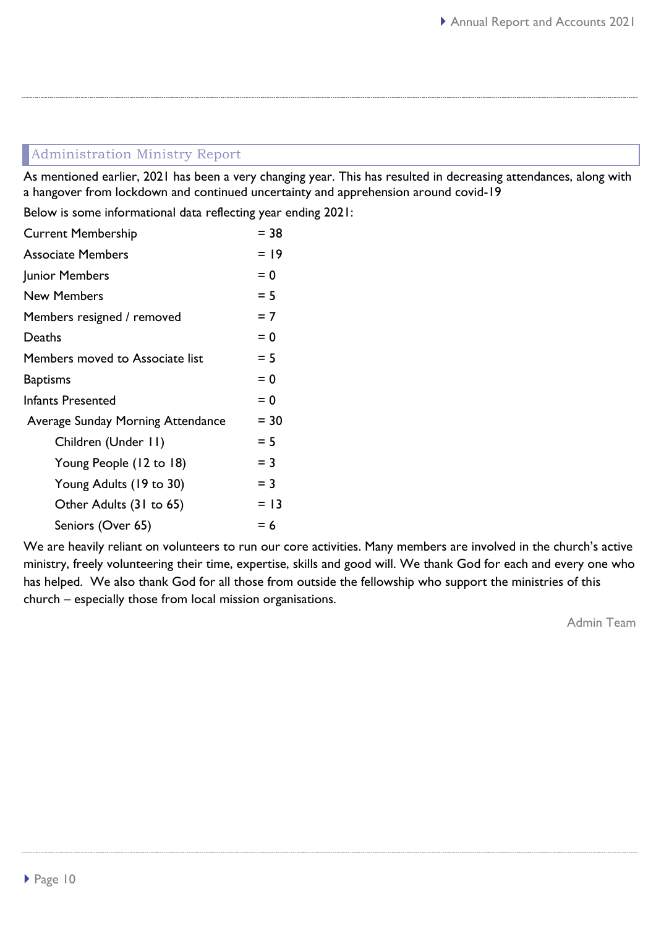## <span id="page-9-0"></span>Administration Ministry Report

As mentioned earlier, 2021 has been a very changing year. This has resulted in decreasing attendances, along with a hangover from lockdown and continued uncertainty and apprehension around covid-19

Below is some informational data reflecting year ending 2021:

| <b>Current Membership</b>         | $= 38$ |
|-----------------------------------|--------|
| <b>Associate Members</b>          | $= 19$ |
| Junior Members                    | $= 0$  |
| <b>New Members</b>                | $= 5$  |
| Members resigned / removed        | $= 7$  |
| Deaths                            | $= 0$  |
| Members moved to Associate list   | $= 5$  |
| <b>Baptisms</b>                   | $= 0$  |
| <b>Infants Presented</b>          | $= 0$  |
| Average Sunday Morning Attendance | $= 30$ |
| Children (Under II)               | $= 5$  |
| Young People (12 to 18)           | $=$ 3  |
| Young Adults (19 to 30)           | $=$ 3  |
| Other Adults (31 to 65)           | $= 13$ |
| Seniors (Over 65)                 | $= 6$  |

We are heavily reliant on volunteers to run our core activities. Many members are involved in the church's active ministry, freely volunteering their time, expertise, skills and good will. We thank God for each and every one who has helped. We also thank God for all those from outside the fellowship who support the ministries of this church – especially those from local mission organisations.

Admin Team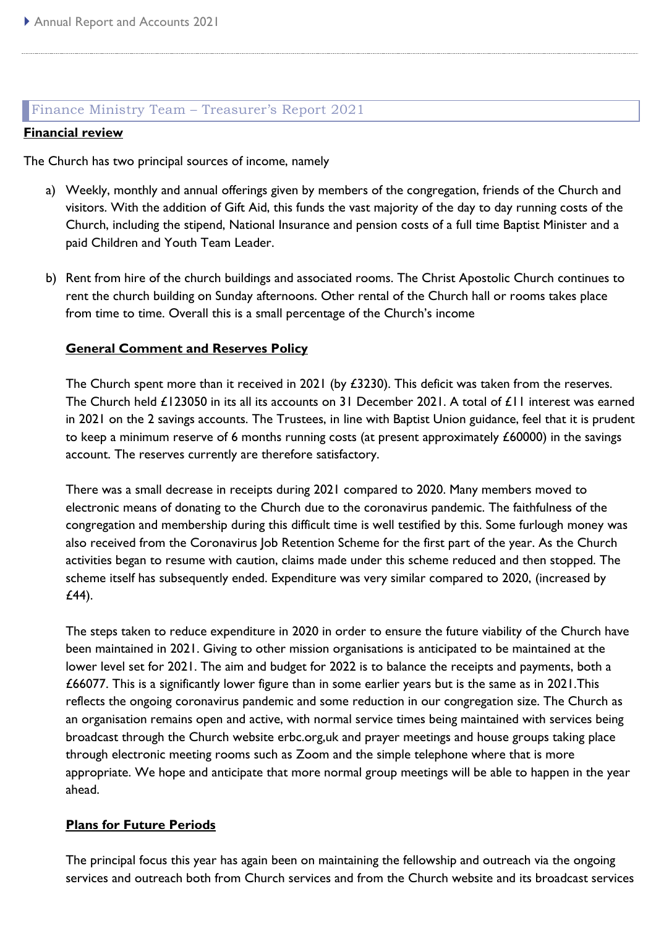#### <span id="page-10-0"></span>Finance Ministry Team – Treasurer's Report 2021

#### **Financial review**

The Church has two principal sources of income, namely

- a) Weekly, monthly and annual offerings given by members of the congregation, friends of the Church and visitors. With the addition of Gift Aid, this funds the vast majority of the day to day running costs of the Church, including the stipend, National Insurance and pension costs of a full time Baptist Minister and a paid Children and Youth Team Leader.
- b) Rent from hire of the church buildings and associated rooms. The Christ Apostolic Church continues to rent the church building on Sunday afternoons. Other rental of the Church hall or rooms takes place from time to time. Overall this is a small percentage of the Church's income

#### **General Comment and Reserves Policy**

The Church spent more than it received in 2021 (by £3230). This deficit was taken from the reserves. The Church held £123050 in its all its accounts on 31 December 2021. A total of £11 interest was earned in 2021 on the 2 savings accounts. The Trustees, in line with Baptist Union guidance, feel that it is prudent to keep a minimum reserve of 6 months running costs (at present approximately £60000) in the savings account. The reserves currently are therefore satisfactory.

There was a small decrease in receipts during 2021 compared to 2020. Many members moved to electronic means of donating to the Church due to the coronavirus pandemic. The faithfulness of the congregation and membership during this difficult time is well testified by this. Some furlough money was also received from the Coronavirus Job Retention Scheme for the first part of the year. As the Church activities began to resume with caution, claims made under this scheme reduced and then stopped. The scheme itself has subsequently ended. Expenditure was very similar compared to 2020, (increased by £44).

The steps taken to reduce expenditure in 2020 in order to ensure the future viability of the Church have been maintained in 2021. Giving to other mission organisations is anticipated to be maintained at the lower level set for 2021. The aim and budget for 2022 is to balance the receipts and payments, both a £66077. This is a significantly lower figure than in some earlier years but is the same as in 2021.This reflects the ongoing coronavirus pandemic and some reduction in our congregation size. The Church as an organisation remains open and active, with normal service times being maintained with services being broadcast through the Church website erbc.org,uk and prayer meetings and house groups taking place through electronic meeting rooms such as Zoom and the simple telephone where that is more appropriate. We hope and anticipate that more normal group meetings will be able to happen in the year ahead.

#### **Plans for Future Periods**

The principal focus this year has again been on maintaining the fellowship and outreach via the ongoing services and outreach both from Church services and from the Church website and its broadcast services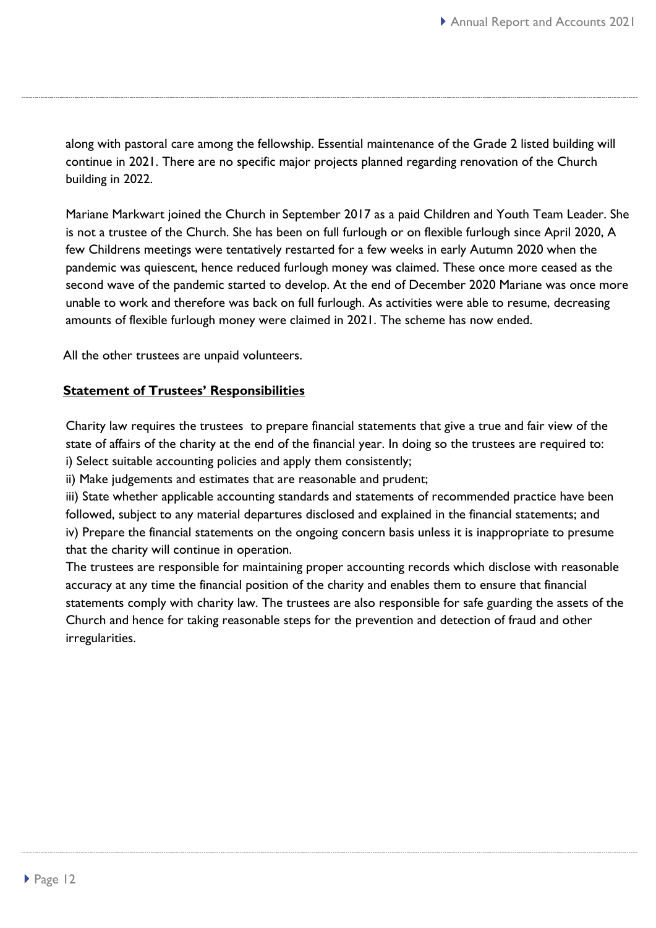along with pastoral care among the fellowship. Essential maintenance of the Grade 2 listed building will continue in 2021. There are no specific major projects planned regarding renovation of the Church building in 2022.

Mariane Markwart joined the Church in September 2017 as a paid Children and Youth Team Leader. She is not a trustee of the Church. She has been on full furlough or on flexible furlough since April 2020, A few Childrens meetings were tentatively restarted for a few weeks in early Autumn 2020 when the pandemic was quiescent, hence reduced furlough money was claimed. These once more ceased as the second wave of the pandemic started to develop. At the end of December 2020 Mariane was once more unable to work and therefore was back on full furlough. As activities were able to resume, decreasing amounts of flexible furlough money were claimed in 2021. The scheme has now ended.

All the other trustees are unpaid volunteers.

#### **Statement of Trustees' Responsibilities**

Charity law requires the trustees to prepare financial statements that give a true and fair view of the state of affairs of the charity at the end of the financial year. In doing so the trustees are required to: i) Select suitable accounting policies and apply them consistently;

ii) Make judgements and estimates that are reasonable and prudent;

iii) State whether applicable accounting standards and statements of recommended practice have been followed, subject to any material departures disclosed and explained in the financial statements; and iv) Prepare the financial statements on the ongoing concern basis unless it is inappropriate to presume that the charity will continue in operation.

The trustees are responsible for maintaining proper accounting records which disclose with reasonable accuracy at any time the financial position of the charity and enables them to ensure that financial statements comply with charity law. The trustees are also responsible for safe guarding the assets of the Church and hence for taking reasonable steps for the prevention and detection of fraud and other irregularities.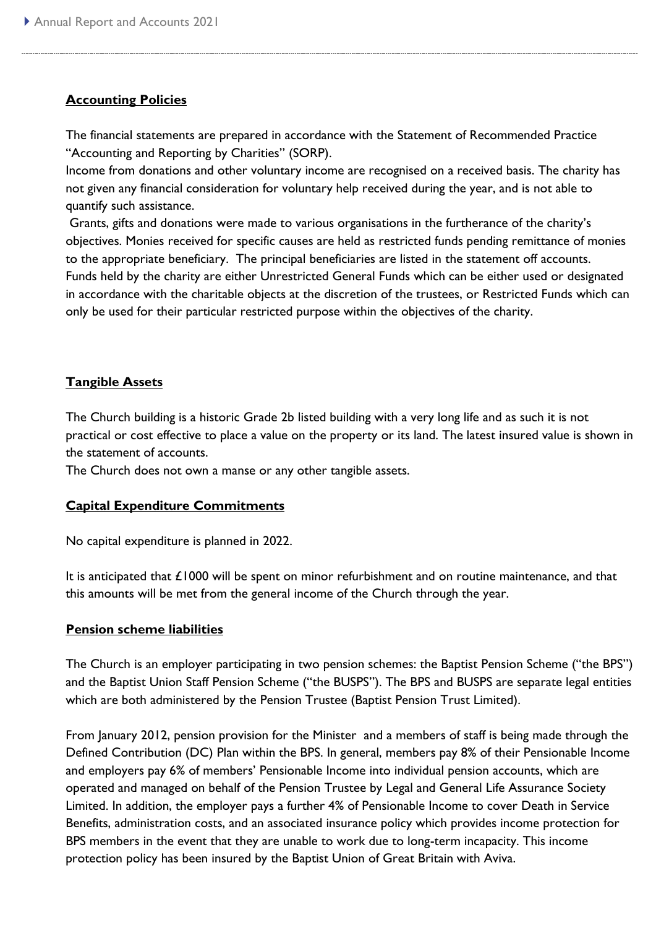#### **Accounting Policies**

The financial statements are prepared in accordance with the Statement of Recommended Practice "Accounting and Reporting by Charities" (SORP).

Income from donations and other voluntary income are recognised on a received basis. The charity has not given any financial consideration for voluntary help received during the year, and is not able to quantify such assistance.

Grants, gifts and donations were made to various organisations in the furtherance of the charity's objectives. Monies received for specific causes are held as restricted funds pending remittance of monies to the appropriate beneficiary. The principal beneficiaries are listed in the statement off accounts. Funds held by the charity are either Unrestricted General Funds which can be either used or designated in accordance with the charitable objects at the discretion of the trustees, or Restricted Funds which can only be used for their particular restricted purpose within the objectives of the charity.

#### **Tangible Assets**

The Church building is a historic Grade 2b listed building with a very long life and as such it is not practical or cost effective to place a value on the property or its land. The latest insured value is shown in the statement of accounts.

The Church does not own a manse or any other tangible assets.

#### **Capital Expenditure Commitments**

No capital expenditure is planned in 2022.

It is anticipated that £1000 will be spent on minor refurbishment and on routine maintenance, and that this amounts will be met from the general income of the Church through the year.

#### **Pension scheme liabilities**

The Church is an employer participating in two pension schemes: the Baptist Pension Scheme ("the BPS") and the Baptist Union Staff Pension Scheme ("the BUSPS"). The BPS and BUSPS are separate legal entities which are both administered by the Pension Trustee (Baptist Pension Trust Limited).

From January 2012, pension provision for the Minister and a members of staff is being made through the Defined Contribution (DC) Plan within the BPS. In general, members pay 8% of their Pensionable Income and employers pay 6% of members' Pensionable Income into individual pension accounts, which are operated and managed on behalf of the Pension Trustee by Legal and General Life Assurance Society Limited. In addition, the employer pays a further 4% of Pensionable Income to cover Death in Service Benefits, administration costs, and an associated insurance policy which provides income protection for BPS members in the event that they are unable to work due to long-term incapacity. This income protection policy has been insured by the Baptist Union of Great Britain with Aviva.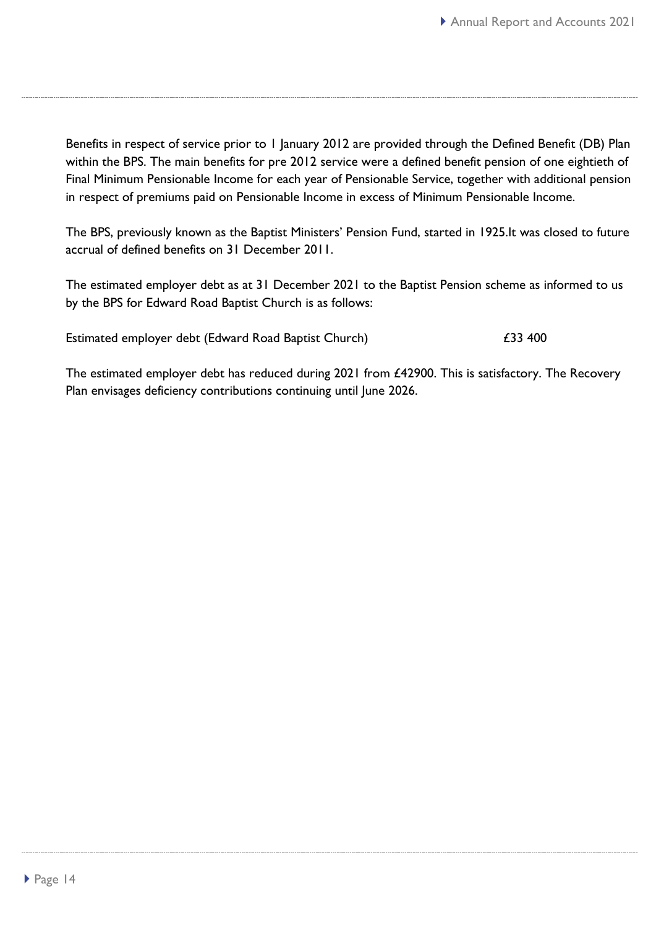Benefits in respect of service prior to 1 January 2012 are provided through the Defined Benefit (DB) Plan within the BPS. The main benefits for pre 2012 service were a defined benefit pension of one eightieth of Final Minimum Pensionable Income for each year of Pensionable Service, together with additional pension in respect of premiums paid on Pensionable Income in excess of Minimum Pensionable Income.

The BPS, previously known as the Baptist Ministers' Pension Fund, started in 1925.It was closed to future accrual of defined benefits on 31 December 2011.

The estimated employer debt as at 31 December 2021 to the Baptist Pension scheme as informed to us by the BPS for Edward Road Baptist Church is as follows:

Estimated employer debt (Edward Road Baptist Church)  $\epsilon$ 33 400

The estimated employer debt has reduced during 2021 from £42900. This is satisfactory. The Recovery Plan envisages deficiency contributions continuing until June 2026.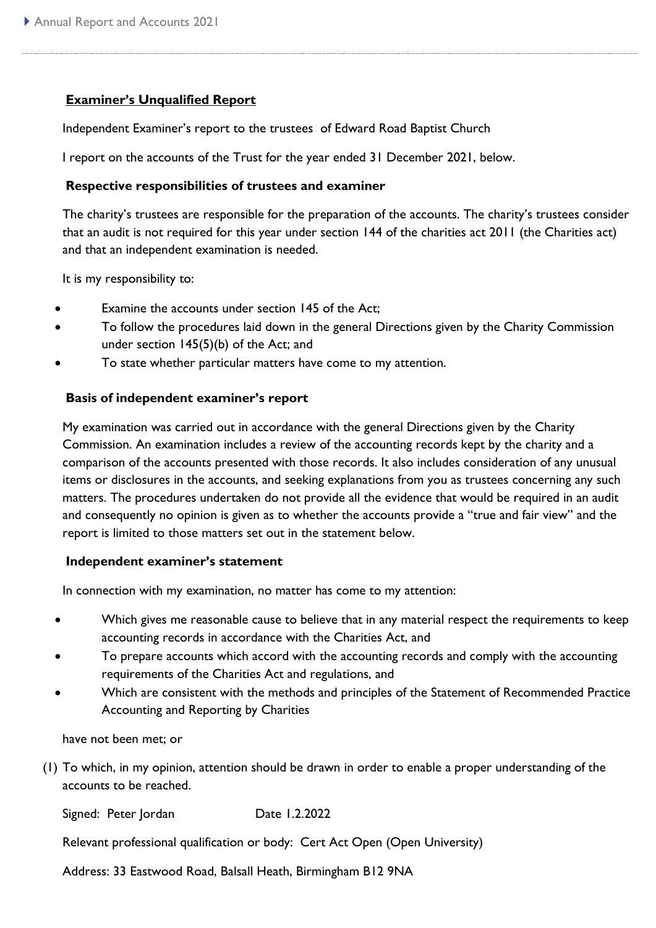#### **Examiner's Unqualified Report**

Independent Examiner's report to the trustees of Edward Road Baptist Church

I report on the accounts of the Trust for the year ended 31 December 2021, below.

#### **Respective responsibilities of trustees and examiner**

The charity's trustees are responsible for the preparation of the accounts. The charity's trustees consider that an audit is not required for this year under section 144 of the charities act 2011 (the Charities act) and that an independent examination is needed.

It is my responsibility to:

- Examine the accounts under section 145 of the Act;
- To follow the procedures laid down in the general Directions given by the Charity Commission under section 145(5)(b) of the Act; and
- To state whether particular matters have come to my attention.

#### **Basis of independent examiner's report**

My examination was carried out in accordance with the general Directions given by the Charity Commission. An examination includes a review of the accounting records kept by the charity and a comparison of the accounts presented with those records. It also includes consideration of any unusual items or disclosures in the accounts, and seeking explanations from you as trustees concerning any such matters. The procedures undertaken do not provide all the evidence that would be required in an audit and consequently no opinion is given as to whether the accounts provide a "true and fair view" and the report is limited to those matters set out in the statement below.

#### **Independent examiner's statement**

In connection with my examination, no matter has come to my attention:

- Which gives me reasonable cause to believe that in any material respect the requirements to keep accounting records in accordance with the Charities Act, and
- To prepare accounts which accord with the accounting records and comply with the accounting requirements of the Charities Act and regulations, and
- Which are consistent with the methods and principles of the Statement of Recommended Practice Accounting and Reporting by Charities

have not been met; or

(1) To which, in my opinion, attention should be drawn in order to enable a proper understanding of the accounts to be reached.

Signed: Peter Jordan Date 1.2.2022

Relevant professional qualification or body: Cert Act Open (Open University)

Address: 33 Eastwood Road, Balsall Heath, Birmingham B12 9NA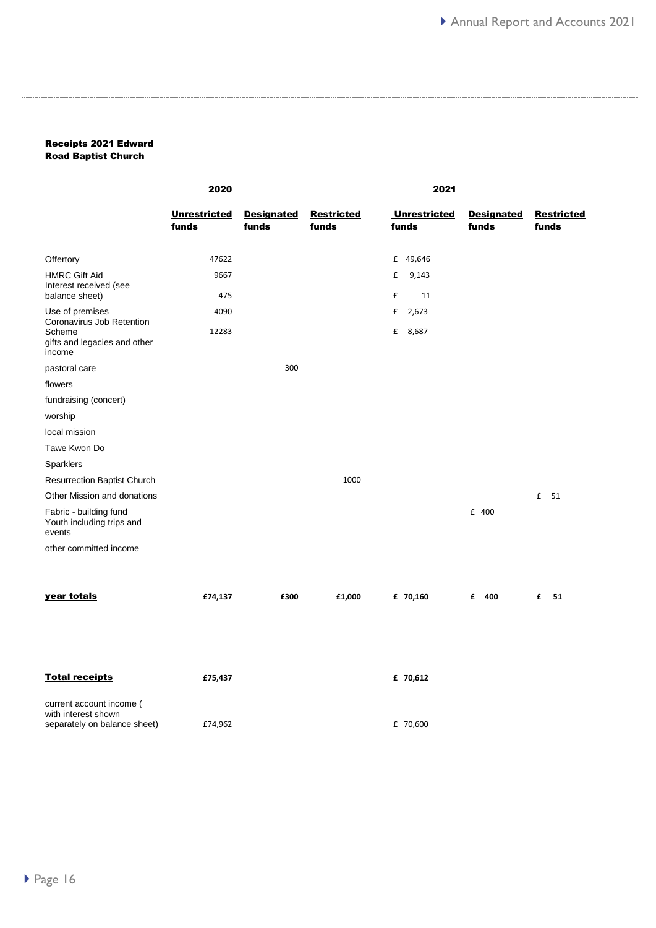#### Receipts 2021 Edward Road Baptist Church

|                                                               | <u> 2020</u>        |                   | <u> 2021 </u>     |                     |                   |                   |
|---------------------------------------------------------------|---------------------|-------------------|-------------------|---------------------|-------------------|-------------------|
|                                                               | <b>Unrestricted</b> | <b>Designated</b> | <b>Restricted</b> | <b>Unrestricted</b> | <b>Designated</b> | <b>Restricted</b> |
|                                                               | funds               | funds             | funds             | funds               | funds             | funds             |
|                                                               |                     |                   |                   |                     |                   |                   |
| Offertory                                                     | 47622               |                   |                   | £ 49,646            |                   |                   |
| <b>HMRC Gift Aid</b>                                          | 9667                |                   |                   | £<br>9,143          |                   |                   |
| Interest received (see<br>balance sheet)                      | 475                 |                   |                   | £<br>11             |                   |                   |
| Use of premises                                               | 4090                |                   |                   | 2,673<br>£          |                   |                   |
| Coronavirus Job Retention<br>Scheme                           | 12283               |                   |                   | £ 8,687             |                   |                   |
| gifts and legacies and other<br>income                        |                     |                   |                   |                     |                   |                   |
| pastoral care                                                 |                     | 300               |                   |                     |                   |                   |
| flowers                                                       |                     |                   |                   |                     |                   |                   |
| fundraising (concert)                                         |                     |                   |                   |                     |                   |                   |
| worship                                                       |                     |                   |                   |                     |                   |                   |
| local mission                                                 |                     |                   |                   |                     |                   |                   |
| Tawe Kwon Do                                                  |                     |                   |                   |                     |                   |                   |
| Sparklers                                                     |                     |                   |                   |                     |                   |                   |
| <b>Resurrection Baptist Church</b>                            |                     |                   | 1000              |                     |                   |                   |
| Other Mission and donations                                   |                     |                   |                   |                     |                   | £ 51              |
| Fabric - building fund<br>Youth including trips and<br>events |                     |                   |                   |                     | £ 400             |                   |
| other committed income                                        |                     |                   |                   |                     |                   |                   |
|                                                               |                     |                   |                   |                     |                   |                   |
| year totals                                                   | £74,137             | £300              | £1,000            | £ 70,160            | 400<br>£          | £<br>51           |
|                                                               |                     |                   |                   |                     |                   |                   |
|                                                               |                     |                   |                   |                     |                   |                   |
|                                                               |                     |                   |                   |                     |                   |                   |
| <b>Total receipts</b>                                         | £75,437             |                   |                   | £ 70,612            |                   |                   |
| current account income (<br>with interest shown               |                     |                   |                   |                     |                   |                   |
| separately on balance sheet)                                  | £74,962             |                   |                   | £ 70,600            |                   |                   |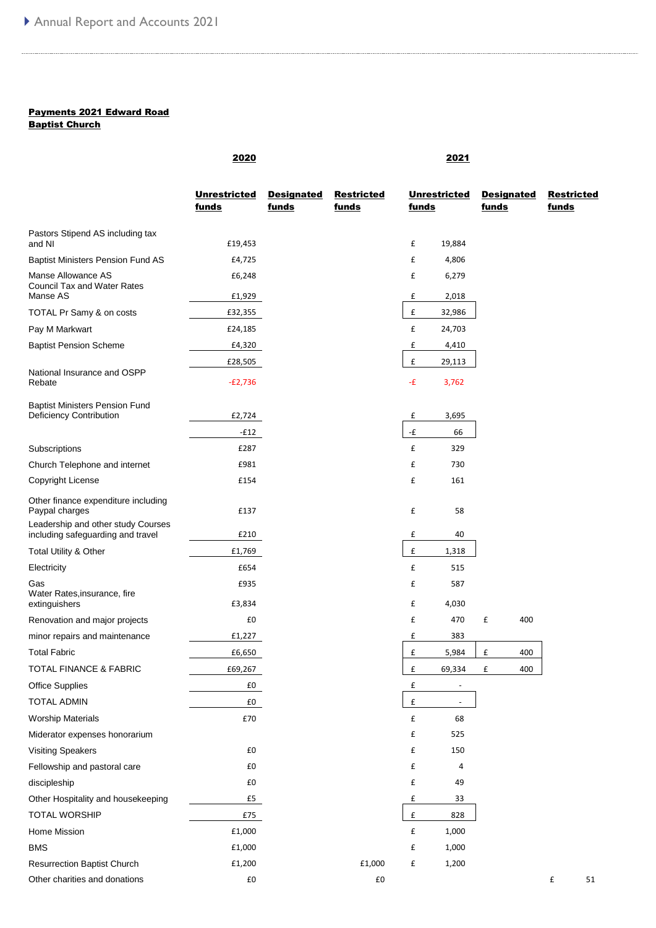#### Payments 2021 Edward Road

Baptist Church

|                                                                         | 2020                                |                            |                            |                    | 2021                         |                            |       |                   |
|-------------------------------------------------------------------------|-------------------------------------|----------------------------|----------------------------|--------------------|------------------------------|----------------------------|-------|-------------------|
|                                                                         | <b>Unrestricted</b><br><u>funds</u> | <b>Designated</b><br>funds | <b>Restricted</b><br>funds | <u>funds</u>       | <b>Unrestricted</b>          | <b>Designated</b><br>funds | funds | <b>Restricted</b> |
| Pastors Stipend AS including tax<br>and NI                              | £19,453                             |                            |                            | £                  | 19,884                       |                            |       |                   |
| <b>Baptist Ministers Pension Fund AS</b>                                | £4,725                              |                            |                            | £                  | 4,806                        |                            |       |                   |
| Manse Allowance AS<br><b>Council Tax and Water Rates</b>                | £6,248                              |                            |                            | £                  | 6,279                        |                            |       |                   |
| Manse AS                                                                | £1,929                              |                            |                            | £                  | 2,018                        |                            |       |                   |
| TOTAL Pr Samy & on costs                                                | £32,355                             |                            |                            | £                  | 32,986                       |                            |       |                   |
| Pay M Markwart                                                          | £24,185                             |                            |                            | £                  | 24,703                       |                            |       |                   |
| <b>Baptist Pension Scheme</b>                                           | £4,320                              |                            |                            | £                  | 4,410                        |                            |       |                   |
| National Insurance and OSPP<br>Rebate                                   | £28,505<br>$-E2,736$                |                            |                            | £<br>-£            | 29,113<br>3,762              |                            |       |                   |
| <b>Baptist Ministers Pension Fund</b><br>Deficiency Contribution        | £2,724                              |                            |                            | £                  | 3,695                        |                            |       |                   |
|                                                                         | $-E12$                              |                            |                            | -£                 | 66                           |                            |       |                   |
| Subscriptions                                                           | £287                                |                            |                            | £                  | 329                          |                            |       |                   |
| Church Telephone and internet                                           | £981                                |                            |                            | £                  | 730                          |                            |       |                   |
| Copyright License                                                       | £154                                |                            |                            | £                  | 161                          |                            |       |                   |
| Other finance expenditure including<br>Paypal charges                   | £137                                |                            |                            | £                  | 58                           |                            |       |                   |
| Leadership and other study Courses<br>including safeguarding and travel | £210                                |                            |                            | £                  | 40                           |                            |       |                   |
| Total Utility & Other                                                   | £1,769                              |                            |                            | £                  | 1,318                        |                            |       |                   |
| Electricity                                                             | £654                                |                            |                            | £                  | 515                          |                            |       |                   |
| Gas                                                                     | £935                                |                            |                            | £                  | 587                          |                            |       |                   |
| Water Rates, insurance, fire<br>extinguishers                           | £3,834                              |                            |                            | £                  | 4,030                        |                            |       |                   |
| Renovation and major projects                                           | £0                                  |                            |                            | £                  | 470                          | £<br>400                   |       |                   |
| minor repairs and maintenance                                           | £1,227                              |                            |                            | £                  | 383                          |                            |       |                   |
| <b>Total Fabric</b>                                                     | £6,650                              |                            |                            | £                  | 5,984                        | £<br>400                   |       |                   |
| TOTAL FINANCE & FABRIC                                                  | £69,267                             |                            |                            | £                  | 69,334                       | £<br>400                   |       |                   |
| <b>Office Supplies</b>                                                  | £0                                  |                            |                            | £                  | $\qquad \qquad \blacksquare$ |                            |       |                   |
| <b>TOTAL ADMIN</b>                                                      | £0                                  |                            |                            | $\pmb{\mathsf{f}}$ |                              |                            |       |                   |
| <b>Worship Materials</b>                                                | £70                                 |                            |                            | £                  | 68                           |                            |       |                   |
| Miderator expenses honorarium                                           |                                     |                            |                            | £                  | 525                          |                            |       |                   |
| <b>Visiting Speakers</b>                                                | £0                                  |                            |                            | £                  | 150                          |                            |       |                   |
| Fellowship and pastoral care                                            | £0                                  |                            |                            | £                  | 4                            |                            |       |                   |
| discipleship                                                            | £0                                  |                            |                            | £                  | 49                           |                            |       |                   |
| Other Hospitality and housekeeping                                      | £5                                  |                            |                            | £                  | 33                           |                            |       |                   |
| <b>TOTAL WORSHIP</b>                                                    | $\pmb{\mathsf{E75}}$                |                            |                            | £                  | 828                          |                            |       |                   |
| Home Mission                                                            | £1,000                              |                            |                            | £                  | 1,000                        |                            |       |                   |
| <b>BMS</b>                                                              | £1,000                              |                            |                            | £                  | 1,000                        |                            |       |                   |
| <b>Resurrection Baptist Church</b>                                      | £1,200                              |                            | £1,000                     | £                  | 1,200                        |                            |       |                   |
| Other charities and donations                                           | £0                                  |                            | £0                         |                    |                              |                            | £     | 51                |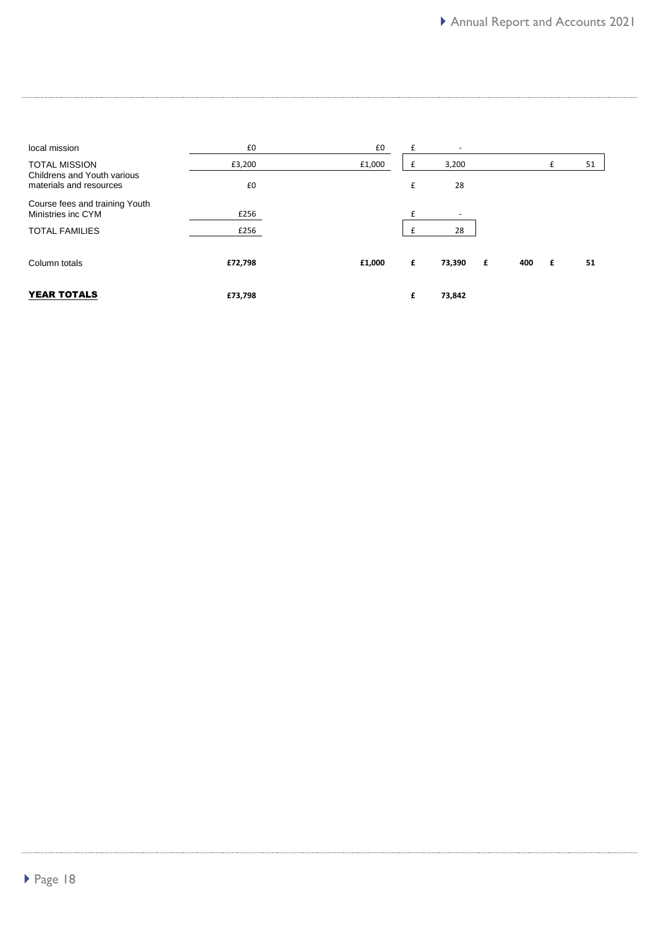| local mission                                          | £0      | £0     | £  | $\overline{\phantom{a}}$ |   |     |   |    |
|--------------------------------------------------------|---------|--------|----|--------------------------|---|-----|---|----|
| <b>TOTAL MISSION</b>                                   | £3,200  | £1,000 | t. | 3,200                    |   |     | £ | 51 |
| Childrens and Youth various<br>materials and resources | £0      |        | £  | 28                       |   |     |   |    |
| Course fees and training Youth<br>Ministries inc CYM   | £256    |        |    | $\overline{\phantom{a}}$ |   |     |   |    |
| <b>TOTAL FAMILIES</b>                                  | £256    |        |    | 28                       |   |     |   |    |
| Column totals                                          | £72,798 | £1,000 | £  | 73,390                   | £ | 400 | £ | 51 |
| <b>YEAR TOTALS</b>                                     | £73,798 |        | £  | 73,842                   |   |     |   |    |